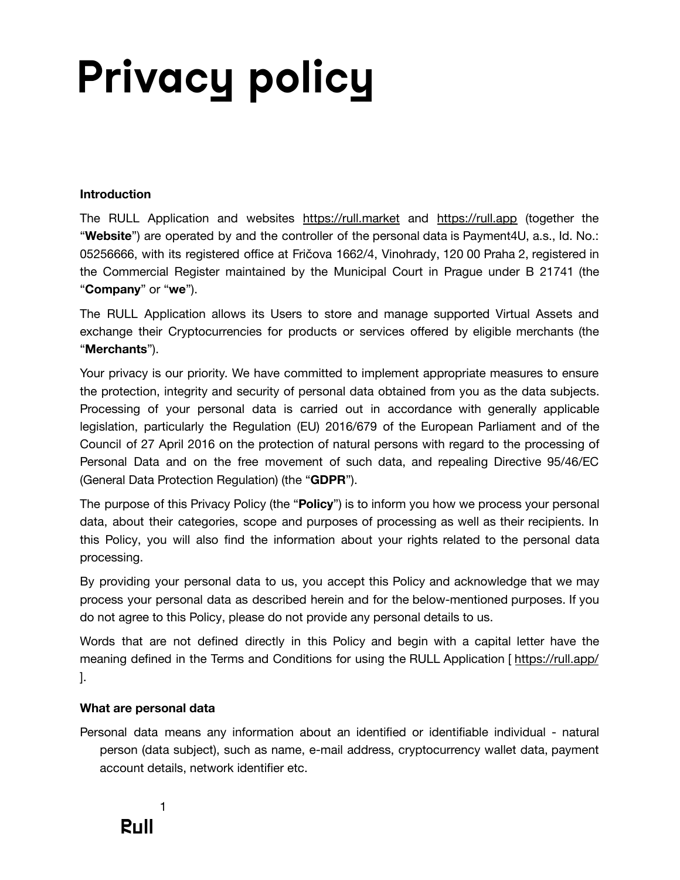# **Privacy policy**

#### **Introduction**

The RULL Application and websites <https://rull.market> and <https://rull.app> (together the "**Website**") are operated by and the controller of the personal data is Payment4U, a.s., Id. No.: 05256666, with its registered office at Fričova 1662/4, Vinohrady, 120 00 Praha 2, registered in the Commercial Register maintained by the Municipal Court in Prague under B 21741 (the "**Company**" or "**we**").

The RULL Application allows its Users to store and manage supported Virtual Assets and exchange their Cryptocurrencies for products or services offered by eligible merchants (the "**Merchants**").

Your privacy is our priority. We have committed to implement appropriate measures to ensure the protection, integrity and security of personal data obtained from you as the data subjects. Processing of your personal data is carried out in accordance with generally applicable legislation, particularly the Regulation (EU) 2016/679 of the European Parliament and of the Council of 27 April 2016 on the protection of natural persons with regard to the processing of Personal Data and on the free movement of such data, and repealing Directive 95/46/EC (General Data Protection Regulation) (the "**GDPR**").

The purpose of this Privacy Policy (the "**Policy**") is to inform you how we process your personal data, about their categories, scope and purposes of processing as well as their recipients. In this Policy, you will also find the information about your rights related to the personal data processing.

By providing your personal data to us, you accept this Policy and acknowledge that we may process your personal data as described herein and for the below-mentioned purposes. If you do not agree to this Policy, please do not provide any personal details to us.

Words that are not defined directly in this Policy and begin with a capital letter have the meaning defined in the Terms and Conditions for using the RULL Application [<https://rull.app/> ].

#### **What are personal data**

Personal data means any information about an identified or identifiable individual - natural person (data subject), such as name, e-mail address, cryptocurrency wallet data, payment account details, network identifier etc.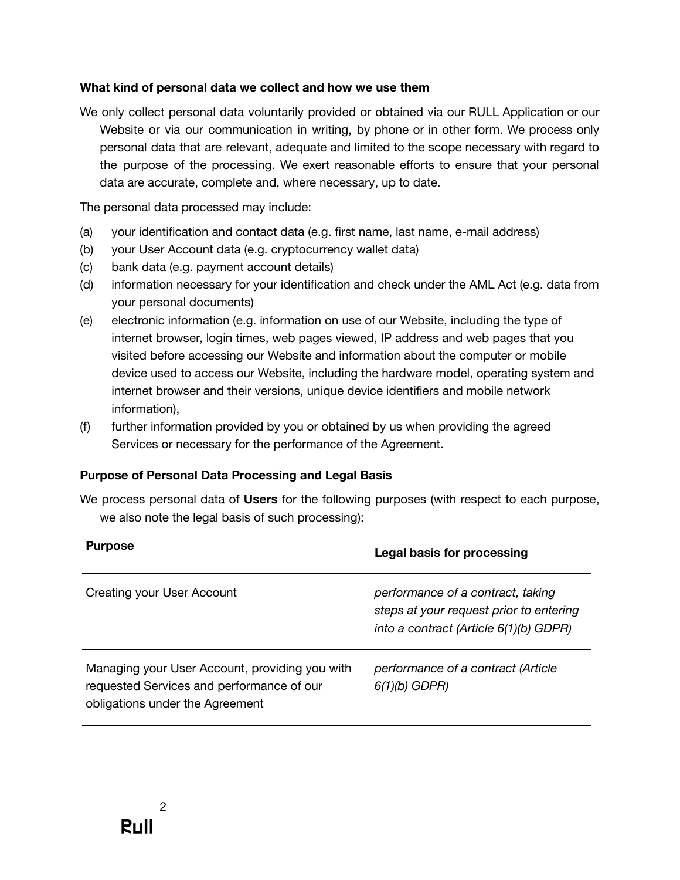### **What kind of personal data we collect and how we use them**

We only collect personal data voluntarily provided or obtained via our RULL Application or our Website or via our communication in writing, by phone or in other form. We process only personal data that are relevant, adequate and limited to the scope necessary with regard to the purpose of the processing. We exert reasonable efforts to ensure that your personal data are accurate, complete and, where necessary, up to date.

The personal data processed may include:

- (a) your identification and contact data (e.g. first name, last name, e-mail address)
- (b) your User Account data (e.g. cryptocurrency wallet data)
- (c) bank data (e.g. payment account details)
- (d) information necessary for your identification and check under the AML Act (e.g. data from your personal documents)
- (e) electronic information (e.g. information on use of our Website, including the type of internet browser, login times, web pages viewed, IP address and web pages that you visited before accessing our Website and information about the computer or mobile device used to access our Website, including the hardware model, operating system and internet browser and their versions, unique device identifiers and mobile network information),
- (f) further information provided by you or obtained by us when providing the agreed Services or necessary for the performance of the Agreement.

#### **Purpose of Personal Data Processing and Legal Basis**

We process personal data of **Users** for the following purposes (with respect to each purpose, we also note the legal basis of such processing):

| <b>Purpose</b>                                                                                                                 | Legal basis for processing                                                                                             |
|--------------------------------------------------------------------------------------------------------------------------------|------------------------------------------------------------------------------------------------------------------------|
| Creating your User Account                                                                                                     | performance of a contract, taking<br>steps at your request prior to entering<br>into a contract (Article 6(1)(b) GDPR) |
| Managing your User Account, providing you with<br>requested Services and performance of our<br>obligations under the Agreement | performance of a contract (Article<br>$6(1)(b)$ GDPR)                                                                  |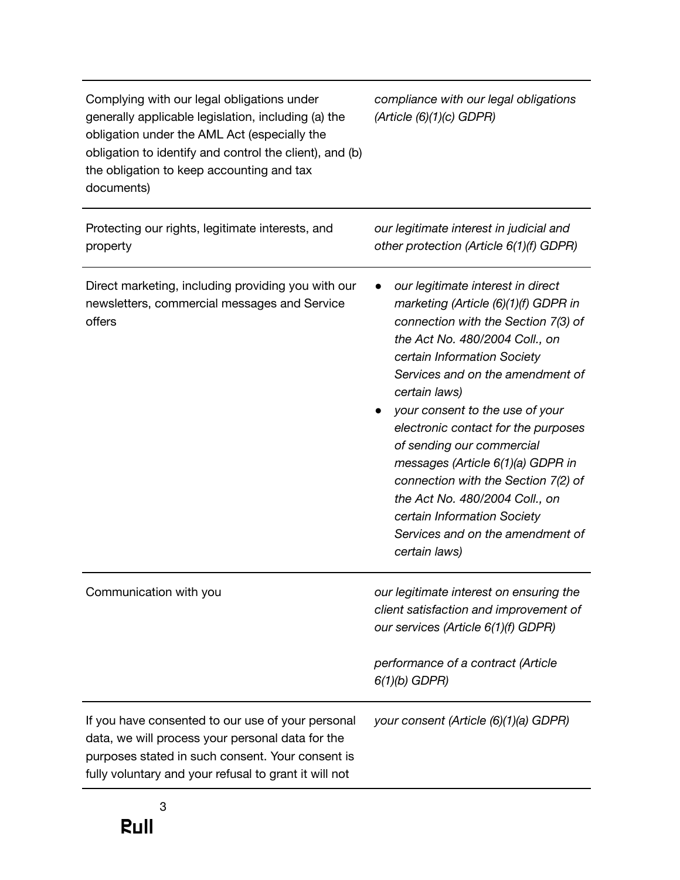| Complying with our legal obligations under<br>generally applicable legislation, including (a) the<br>obligation under the AML Act (especially the<br>obligation to identify and control the client), and (b)<br>the obligation to keep accounting and tax<br>documents) | compliance with our legal obligations<br>(Article (6)(1)(c) GDPR)                                                                                                                                                                                                                                                                                                                                                                                                                                                                               |
|-------------------------------------------------------------------------------------------------------------------------------------------------------------------------------------------------------------------------------------------------------------------------|-------------------------------------------------------------------------------------------------------------------------------------------------------------------------------------------------------------------------------------------------------------------------------------------------------------------------------------------------------------------------------------------------------------------------------------------------------------------------------------------------------------------------------------------------|
| Protecting our rights, legitimate interests, and<br>property                                                                                                                                                                                                            | our legitimate interest in judicial and<br>other protection (Article 6(1)(f) GDPR)                                                                                                                                                                                                                                                                                                                                                                                                                                                              |
| Direct marketing, including providing you with our<br>newsletters, commercial messages and Service<br>offers                                                                                                                                                            | our legitimate interest in direct<br>marketing (Article (6)(1)(f) GDPR in<br>connection with the Section 7(3) of<br>the Act No. 480/2004 Coll., on<br>certain Information Society<br>Services and on the amendment of<br>certain laws)<br>your consent to the use of your<br>electronic contact for the purposes<br>of sending our commercial<br>messages (Article 6(1)(a) GDPR in<br>connection with the Section 7(2) of<br>the Act No. 480/2004 Coll., on<br>certain Information Society<br>Services and on the amendment of<br>certain laws) |
| Communication with you                                                                                                                                                                                                                                                  | our legitimate interest on ensuring the<br>client satisfaction and improvement of<br>our services (Article 6(1)(f) GDPR)<br>performance of a contract (Article                                                                                                                                                                                                                                                                                                                                                                                  |
|                                                                                                                                                                                                                                                                         | $6(1)(b)$ GDPR)                                                                                                                                                                                                                                                                                                                                                                                                                                                                                                                                 |
| If you have consented to our use of your personal<br>data, we will process your personal data for the<br>purposes stated in such consent. Your consent is<br>fully voluntary and your refusal to grant it will not                                                      | your consent (Article (6)(1)(a) GDPR)                                                                                                                                                                                                                                                                                                                                                                                                                                                                                                           |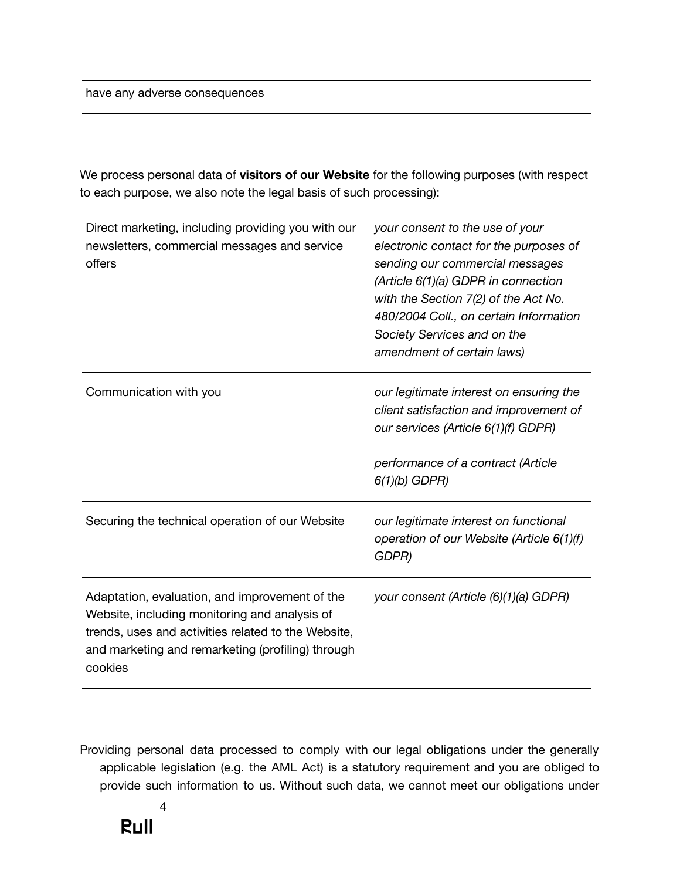have any adverse consequences

We process personal data of **visitors of our Website** for the following purposes (with respect to each purpose, we also note the legal basis of such processing):

| Direct marketing, including providing you with our<br>newsletters, commercial messages and service<br>offers                                                                                                           | your consent to the use of your<br>electronic contact for the purposes of<br>sending our commercial messages<br>(Article 6(1)(a) GDPR in connection<br>with the Section 7(2) of the Act No.<br>480/2004 Coll., on certain Information<br>Society Services and on the<br>amendment of certain laws) |
|------------------------------------------------------------------------------------------------------------------------------------------------------------------------------------------------------------------------|----------------------------------------------------------------------------------------------------------------------------------------------------------------------------------------------------------------------------------------------------------------------------------------------------|
| Communication with you                                                                                                                                                                                                 | our legitimate interest on ensuring the<br>client satisfaction and improvement of<br>our services (Article 6(1)(f) GDPR)<br>performance of a contract (Article<br>$6(1)(b)$ GDPR)                                                                                                                  |
| Securing the technical operation of our Website                                                                                                                                                                        | our legitimate interest on functional<br>operation of our Website (Article 6(1)(f)<br>GDPR)                                                                                                                                                                                                        |
| Adaptation, evaluation, and improvement of the<br>Website, including monitoring and analysis of<br>trends, uses and activities related to the Website,<br>and marketing and remarketing (profiling) through<br>cookies | your consent (Article (6)(1)(a) GDPR)                                                                                                                                                                                                                                                              |

Providing personal data processed to comply with our legal obligations under the generally applicable legislation (e.g. the AML Act) is a statutory requirement and you are obliged to provide such information to us. Without such data, we cannot meet our obligations under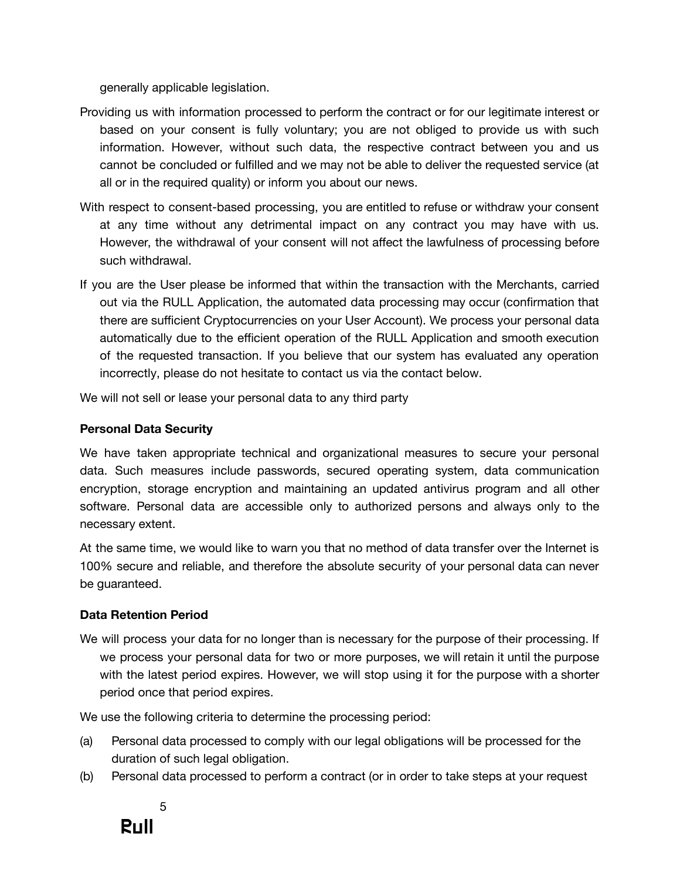generally applicable legislation.

- Providing us with information processed to perform the contract or for our legitimate interest or based on your consent is fully voluntary; you are not obliged to provide us with such information. However, without such data, the respective contract between you and us cannot be concluded or fulfilled and we may not be able to deliver the requested service (at all or in the required quality) or inform you about our news.
- With respect to consent-based processing, you are entitled to refuse or withdraw your consent at any time without any detrimental impact on any contract you may have with us. However, the withdrawal of your consent will not affect the lawfulness of processing before such withdrawal.
- If you are the User please be informed that within the transaction with the Merchants, carried out via the RULL Application, the automated data processing may occur (confirmation that there are sufficient Cryptocurrencies on your User Account). We process your personal data automatically due to the efficient operation of the RULL Application and smooth execution of the requested transaction. If you believe that our system has evaluated any operation incorrectly, please do not hesitate to contact us via the contact below.

We will not sell or lease your personal data to any third party

#### **Personal Data Security**

We have taken appropriate technical and organizational measures to secure your personal data. Such measures include passwords, secured operating system, data communication encryption, storage encryption and maintaining an updated antivirus program and all other software. Personal data are accessible only to authorized persons and always only to the necessary extent.

At the same time, we would like to warn you that no method of data transfer over the Internet is 100% secure and reliable, and therefore the absolute security of your personal data can never be guaranteed.

# **Data Retention Period**

We will process your data for no longer than is necessary for the purpose of their processing. If we process your personal data for two or more purposes, we will retain it until the purpose with the latest period expires. However, we will stop using it for the purpose with a shorter period once that period expires.

We use the following criteria to determine the processing period:

- (a) Personal data processed to comply with our legal obligations will be processed for the duration of such legal obligation.
- (b) Personal data processed to perform a contract (or in order to take steps at your request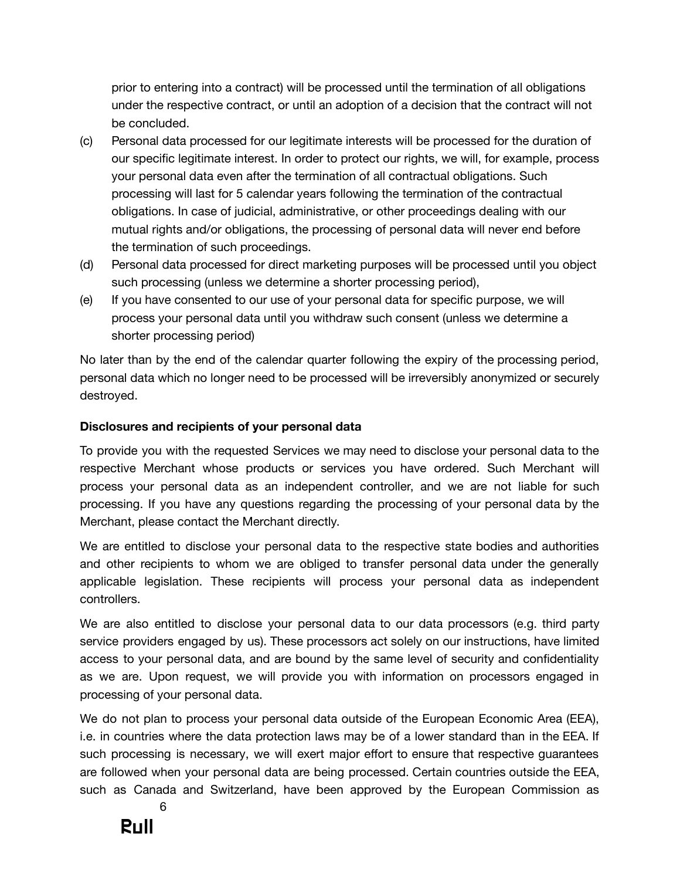prior to entering into a contract) will be processed until the termination of all obligations under the respective contract, or until an adoption of a decision that the contract will not be concluded.

- (c) Personal data processed for our legitimate interests will be processed for the duration of our specific legitimate interest. In order to protect our rights, we will, for example, process your personal data even after the termination of all contractual obligations. Such processing will last for 5 calendar years following the termination of the contractual obligations. In case of judicial, administrative, or other proceedings dealing with our mutual rights and/or obligations, the processing of personal data will never end before the termination of such proceedings.
- (d) Personal data processed for direct marketing purposes will be processed until you object such processing (unless we determine a shorter processing period),
- (e) If you have consented to our use of your personal data for specific purpose, we will process your personal data until you withdraw such consent (unless we determine a shorter processing period)

No later than by the end of the calendar quarter following the expiry of the processing period, personal data which no longer need to be processed will be irreversibly anonymized or securely destroyed.

#### **Disclosures and recipients of your personal data**

To provide you with the requested Services we may need to disclose your personal data to the respective Merchant whose products or services you have ordered. Such Merchant will process your personal data as an independent controller, and we are not liable for such processing. If you have any questions regarding the processing of your personal data by the Merchant, please contact the Merchant directly.

We are entitled to disclose your personal data to the respective state bodies and authorities and other recipients to whom we are obliged to transfer personal data under the generally applicable legislation. These recipients will process your personal data as independent controllers.

We are also entitled to disclose your personal data to our data processors (e.g. third party service providers engaged by us). These processors act solely on our instructions, have limited access to your personal data, and are bound by the same level of security and confidentiality as we are. Upon request, we will provide you with information on processors engaged in processing of your personal data.

We do not plan to process your personal data outside of the European Economic Area (EEA), i.e. in countries where the data protection laws may be of a lower standard than in the EEA. If such processing is necessary, we will exert major effort to ensure that respective guarantees are followed when your personal data are being processed. Certain countries outside the EEA, such as Canada and Switzerland, have been approved by the European Commission as



6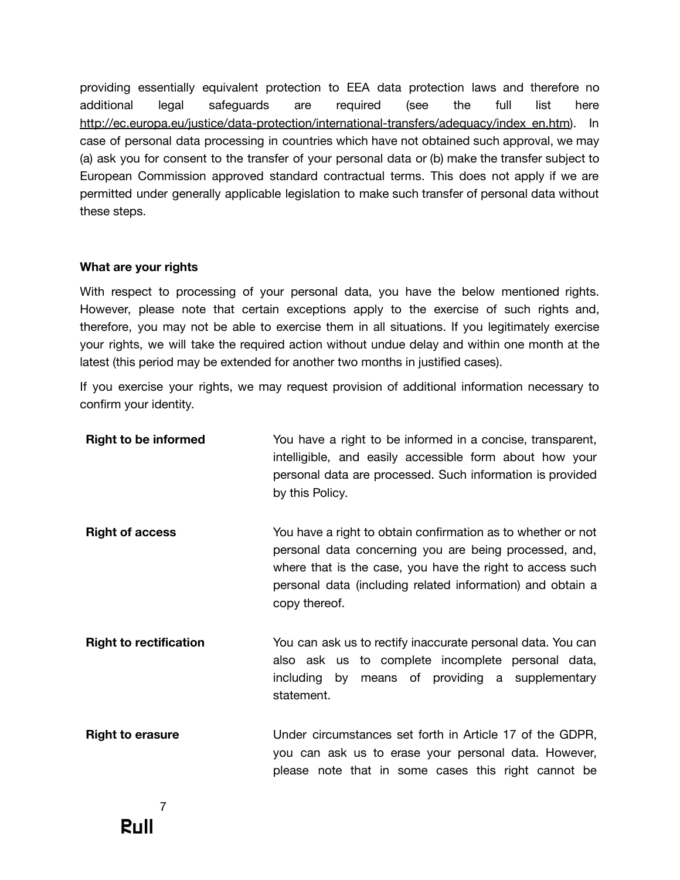providing essentially equivalent protection to EEA data protection laws and therefore no additional legal safeguards are required (see the full list here [http://ec.europa.eu/justice/data-protection/international-transfers/adequacy/index\\_en.htm](http://ec.europa.eu/justice/data-protection/international-transfers/adequacy/index_en.htm)). In case of personal data processing in countries which have not obtained such approval, we may (a) ask you for consent to the transfer of your personal data or (b) make the transfer subject to European Commission approved standard contractual terms. This does not apply if we are permitted under generally applicable legislation to make such transfer of personal data without these steps.

#### **What are your rights**

With respect to processing of your personal data, you have the below mentioned rights. However, please note that certain exceptions apply to the exercise of such rights and, therefore, you may not be able to exercise them in all situations. If you legitimately exercise your rights, we will take the required action without undue delay and within one month at the latest (this period may be extended for another two months in justified cases).

If you exercise your rights, we may request provision of additional information necessary to confirm your identity.

| <b>Right to be informed</b>   | You have a right to be informed in a concise, transparent,<br>intelligible, and easily accessible form about how your<br>personal data are processed. Such information is provided<br>by this Policy.                                                              |
|-------------------------------|--------------------------------------------------------------------------------------------------------------------------------------------------------------------------------------------------------------------------------------------------------------------|
| <b>Right of access</b>        | You have a right to obtain confirmation as to whether or not<br>personal data concerning you are being processed, and,<br>where that is the case, you have the right to access such<br>personal data (including related information) and obtain a<br>copy thereof. |
| <b>Right to rectification</b> | You can ask us to rectify inaccurate personal data. You can<br>also ask us to complete incomplete personal data,<br>by means of providing a supplementary<br>including<br>statement.                                                                               |
| <b>Right to erasure</b>       | Under circumstances set forth in Article 17 of the GDPR,<br>you can ask us to erase your personal data. However,<br>please note that in some cases this right cannot be                                                                                            |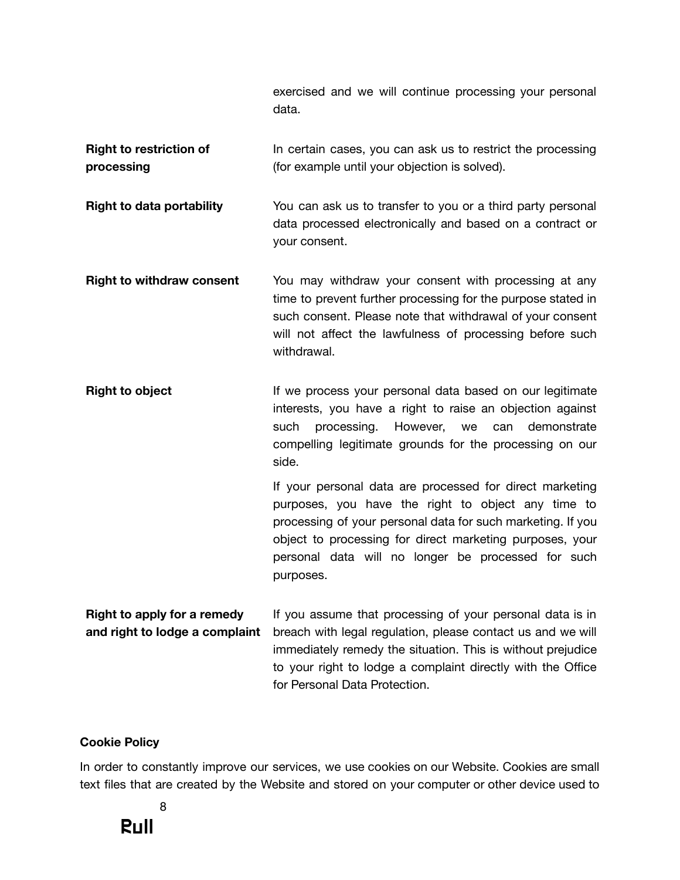exercised and we will continue processing your personal data.

**Right to restriction of processing** In certain cases, you can ask us to restrict the processing (for example until your objection is solved).

**Right to data portability** You can ask us to transfer to you or a third party personal data processed electronically and based on a contract or your consent.

- **Right to withdraw consent** You may withdraw your consent with processing at any time to prevent further processing for the purpose stated in such consent. Please note that withdrawal of your consent will not affect the lawfulness of processing before such withdrawal.
- **Right to object** If we process your personal data based on our legitimate interests, you have a right to raise an objection against such processing. However, we can demonstrate compelling legitimate grounds for the processing on our side.

If your personal data are processed for direct marketing purposes, you have the right to object any time to processing of your personal data for such marketing. If you object to processing for direct marketing purposes, your personal data will no longer be processed for such purposes.

**Right to apply for a remedy and right to lodge a complaint** If you assume that processing of your personal data is in breach with legal regulation, please contact us and we will immediately remedy the situation. This is without prejudice to your right to lodge a complaint directly with the Office for Personal Data Protection.

#### **Cookie Policy**

In order to constantly improve our services, we use cookies on our Website. Cookies are small text files that are created by the Website and stored on your computer or other device used to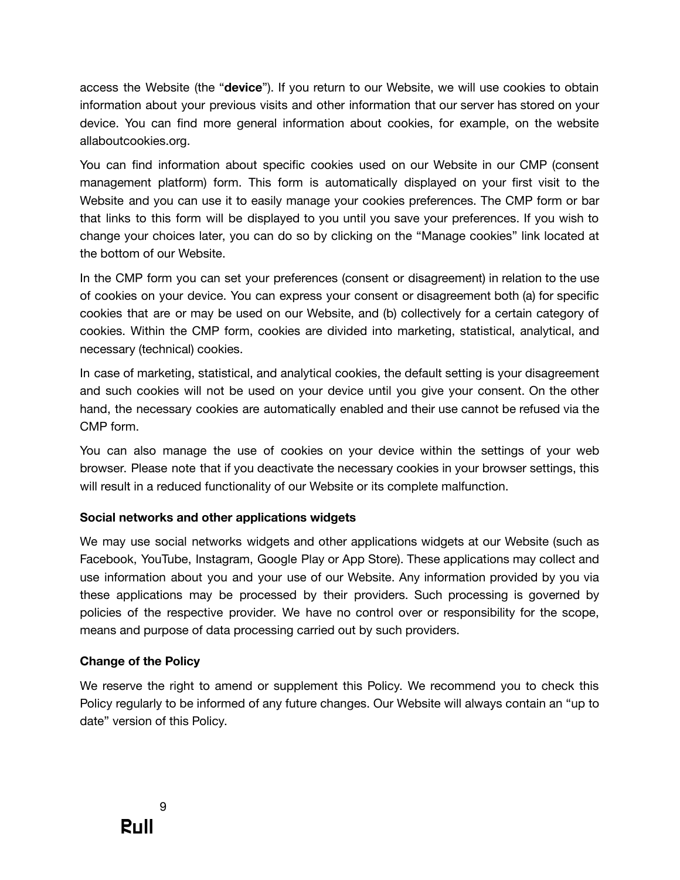access the Website (the "**device**"). If you return to our Website, we will use cookies to obtain information about your previous visits and other information that our server has stored on your device. You can find more general information about cookies, for example, on the website allaboutcookies.org.

You can find information about specific cookies used on our Website in our CMP (consent management platform) form. This form is automatically displayed on your first visit to the Website and you can use it to easily manage your cookies preferences. The CMP form or bar that links to this form will be displayed to you until you save your preferences. If you wish to change your choices later, you can do so by clicking on the "Manage cookies" link located at the bottom of our Website.

In the CMP form you can set your preferences (consent or disagreement) in relation to the use of cookies on your device. You can express your consent or disagreement both (a) for specific cookies that are or may be used on our Website, and (b) collectively for a certain category of cookies. Within the CMP form, cookies are divided into marketing, statistical, analytical, and necessary (technical) cookies.

In case of marketing, statistical, and analytical cookies, the default setting is your disagreement and such cookies will not be used on your device until you give your consent. On the other hand, the necessary cookies are automatically enabled and their use cannot be refused via the CMP form.

You can also manage the use of cookies on your device within the settings of your web browser. Please note that if you deactivate the necessary cookies in your browser settings, this will result in a reduced functionality of our Website or its complete malfunction.

# **Social networks and other applications widgets**

We may use social networks widgets and other applications widgets at our Website (such as Facebook, YouTube, Instagram, Google Play or App Store). These applications may collect and use information about you and your use of our Website. Any information provided by you via these applications may be processed by their providers. Such processing is governed by policies of the respective provider. We have no control over or responsibility for the scope, means and purpose of data processing carried out by such providers.

# **Change of the Policy**

We reserve the right to amend or supplement this Policy. We recommend you to check this Policy regularly to be informed of any future changes. Our Website will always contain an "up to date" version of this Policy.